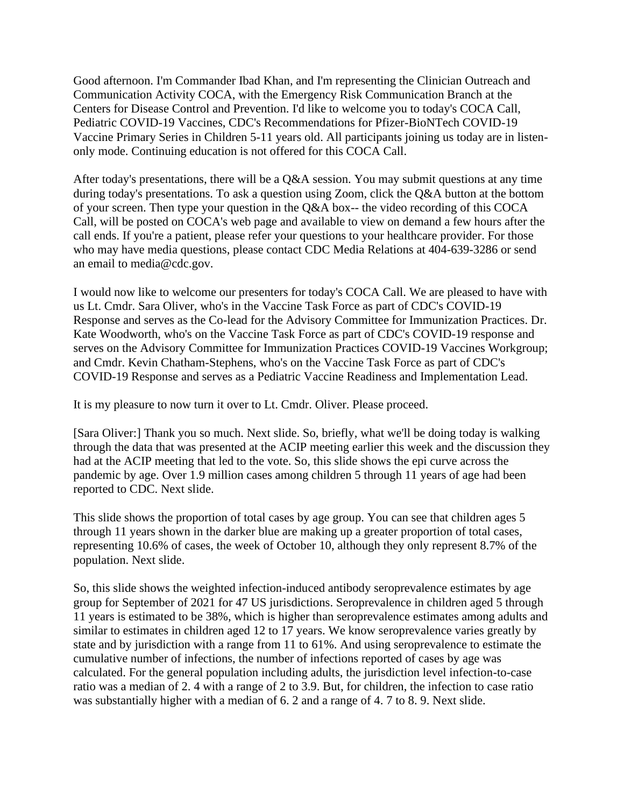Good afternoon. I'm Commander Ibad Khan, and I'm representing the Clinician Outreach and Communication Activity COCA, with the Emergency Risk Communication Branch at the Centers for Disease Control and Prevention. I'd like to welcome you to today's COCA Call, Pediatric COVID-19 Vaccines, CDC's Recommendations for Pfizer-BioNTech COVID-19 Vaccine Primary Series in Children 5-11 years old. All participants joining us today are in listenonly mode. Continuing education is not offered for this COCA Call.

After today's presentations, there will be a Q&A session. You may submit questions at any time during today's presentations. To ask a question using Zoom, click the Q&A button at the bottom of your screen. Then type your question in the Q&A box-- the video recording of this COCA Call, will be posted on COCA's web page and available to view on demand a few hours after the call ends. If you're a patient, please refer your questions to your healthcare provider. For those who may have media questions, please contact CDC Media Relations at 404-639-3286 or send an email to media@cdc.gov.

I would now like to welcome our presenters for today's COCA Call. We are pleased to have with us Lt. Cmdr. Sara Oliver, who's in the Vaccine Task Force as part of CDC's COVID-19 Response and serves as the Co-lead for the Advisory Committee for Immunization Practices. Dr. Kate Woodworth, who's on the Vaccine Task Force as part of CDC's COVID-19 response and serves on the Advisory Committee for Immunization Practices COVID-19 Vaccines Workgroup; and Cmdr. Kevin Chatham-Stephens, who's on the Vaccine Task Force as part of CDC's COVID-19 Response and serves as a Pediatric Vaccine Readiness and Implementation Lead.

It is my pleasure to now turn it over to Lt. Cmdr. Oliver. Please proceed.

[Sara Oliver:] Thank you so much. Next slide. So, briefly, what we'll be doing today is walking through the data that was presented at the ACIP meeting earlier this week and the discussion they had at the ACIP meeting that led to the vote. So, this slide shows the epi curve across the pandemic by age. Over 1.9 million cases among children 5 through 11 years of age had been reported to CDC. Next slide.

This slide shows the proportion of total cases by age group. You can see that children ages 5 through 11 years shown in the darker blue are making up a greater proportion of total cases, representing 10.6% of cases, the week of October 10, although they only represent 8.7% of the population. Next slide.

So, this slide shows the weighted infection-induced antibody seroprevalence estimates by age group for September of 2021 for 47 US jurisdictions. Seroprevalence in children aged 5 through 11 years is estimated to be 38%, which is higher than seroprevalence estimates among adults and similar to estimates in children aged 12 to 17 years. We know seroprevalence varies greatly by state and by jurisdiction with a range from 11 to 61%. And using seroprevalence to estimate the cumulative number of infections, the number of infections reported of cases by age was calculated. For the general population including adults, the jurisdiction level infection-to-case ratio was a median of 2. 4 with a range of 2 to 3.9. But, for children, the infection to case ratio was substantially higher with a median of 6. 2 and a range of 4. 7 to 8. 9. Next slide.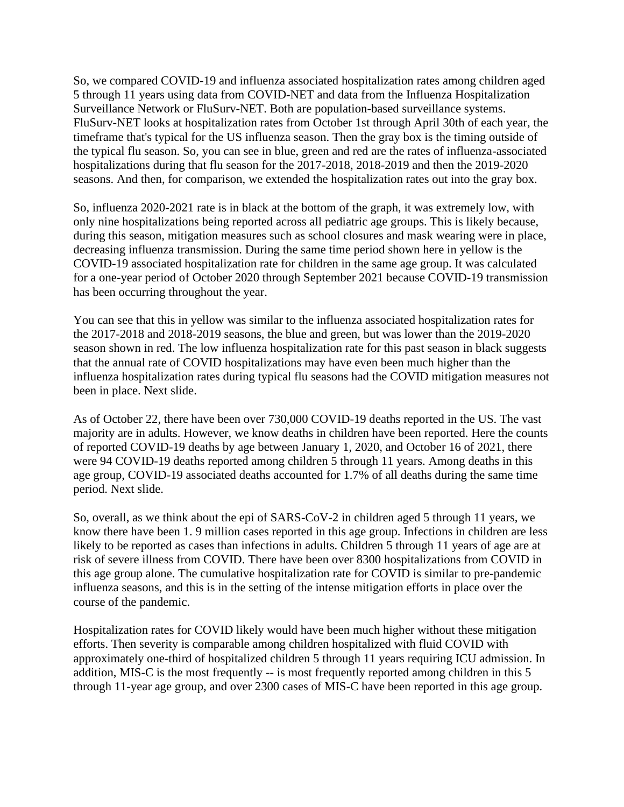So, we compared COVID-19 and influenza associated hospitalization rates among children aged 5 through 11 years using data from COVID-NET and data from the Influenza Hospitalization Surveillance Network or FluSurv-NET. Both are population-based surveillance systems. FluSurv-NET looks at hospitalization rates from October 1st through April 30th of each year, the timeframe that's typical for the US influenza season. Then the gray box is the timing outside of the typical flu season. So, you can see in blue, green and red are the rates of influenza-associated hospitalizations during that flu season for the 2017-2018, 2018-2019 and then the 2019-2020 seasons. And then, for comparison, we extended the hospitalization rates out into the gray box.

So, influenza 2020-2021 rate is in black at the bottom of the graph, it was extremely low, with only nine hospitalizations being reported across all pediatric age groups. This is likely because, during this season, mitigation measures such as school closures and mask wearing were in place, decreasing influenza transmission. During the same time period shown here in yellow is the COVID-19 associated hospitalization rate for children in the same age group. It was calculated for a one-year period of October 2020 through September 2021 because COVID-19 transmission has been occurring throughout the year.

You can see that this in yellow was similar to the influenza associated hospitalization rates for the 2017-2018 and 2018-2019 seasons, the blue and green, but was lower than the 2019-2020 season shown in red. The low influenza hospitalization rate for this past season in black suggests that the annual rate of COVID hospitalizations may have even been much higher than the influenza hospitalization rates during typical flu seasons had the COVID mitigation measures not been in place. Next slide.

As of October 22, there have been over 730,000 COVID-19 deaths reported in the US. The vast majority are in adults. However, we know deaths in children have been reported. Here the counts of reported COVID-19 deaths by age between January 1, 2020, and October 16 of 2021, there were 94 COVID-19 deaths reported among children 5 through 11 years. Among deaths in this age group, COVID-19 associated deaths accounted for 1.7% of all deaths during the same time period. Next slide.

So, overall, as we think about the epi of SARS-CoV-2 in children aged 5 through 11 years, we know there have been 1. 9 million cases reported in this age group. Infections in children are less likely to be reported as cases than infections in adults. Children 5 through 11 years of age are at risk of severe illness from COVID. There have been over 8300 hospitalizations from COVID in this age group alone. The cumulative hospitalization rate for COVID is similar to pre-pandemic influenza seasons, and this is in the setting of the intense mitigation efforts in place over the course of the pandemic.

Hospitalization rates for COVID likely would have been much higher without these mitigation efforts. Then severity is comparable among children hospitalized with fluid COVID with approximately one-third of hospitalized children 5 through 11 years requiring ICU admission. In addition, MIS-C is the most frequently -- is most frequently reported among children in this 5 through 11-year age group, and over 2300 cases of MIS-C have been reported in this age group.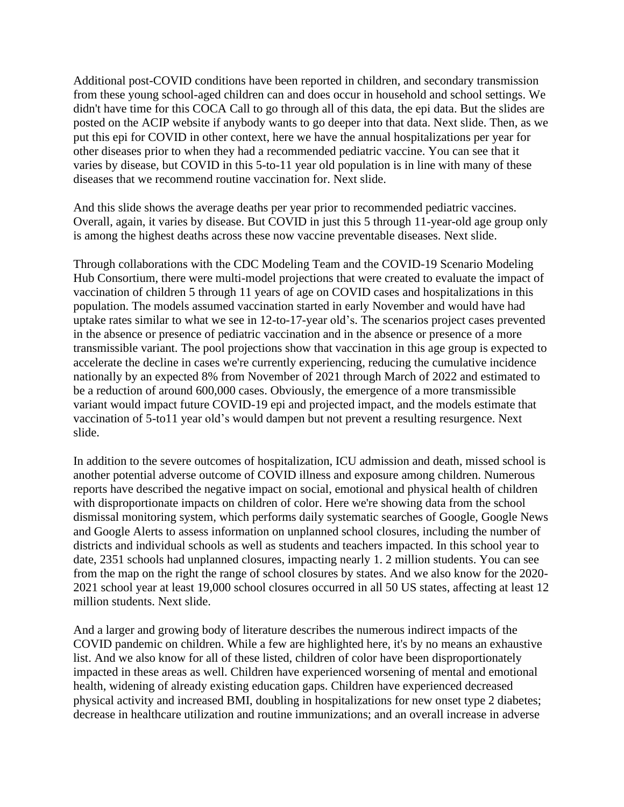Additional post-COVID conditions have been reported in children, and secondary transmission from these young school-aged children can and does occur in household and school settings. We didn't have time for this COCA Call to go through all of this data, the epi data. But the slides are posted on the ACIP website if anybody wants to go deeper into that data. Next slide. Then, as we put this epi for COVID in other context, here we have the annual hospitalizations per year for other diseases prior to when they had a recommended pediatric vaccine. You can see that it varies by disease, but COVID in this 5-to-11 year old population is in line with many of these diseases that we recommend routine vaccination for. Next slide.

And this slide shows the average deaths per year prior to recommended pediatric vaccines. Overall, again, it varies by disease. But COVID in just this 5 through 11-year-old age group only is among the highest deaths across these now vaccine preventable diseases. Next slide.

Through collaborations with the CDC Modeling Team and the COVID-19 Scenario Modeling Hub Consortium, there were multi-model projections that were created to evaluate the impact of vaccination of children 5 through 11 years of age on COVID cases and hospitalizations in this population. The models assumed vaccination started in early November and would have had uptake rates similar to what we see in 12-to-17-year old's. The scenarios project cases prevented in the absence or presence of pediatric vaccination and in the absence or presence of a more transmissible variant. The pool projections show that vaccination in this age group is expected to accelerate the decline in cases we're currently experiencing, reducing the cumulative incidence nationally by an expected 8% from November of 2021 through March of 2022 and estimated to be a reduction of around 600,000 cases. Obviously, the emergence of a more transmissible variant would impact future COVID-19 epi and projected impact, and the models estimate that vaccination of 5-to11 year old's would dampen but not prevent a resulting resurgence. Next slide.

In addition to the severe outcomes of hospitalization, ICU admission and death, missed school is another potential adverse outcome of COVID illness and exposure among children. Numerous reports have described the negative impact on social, emotional and physical health of children with disproportionate impacts on children of color. Here we're showing data from the school dismissal monitoring system, which performs daily systematic searches of Google, Google News and Google Alerts to assess information on unplanned school closures, including the number of districts and individual schools as well as students and teachers impacted. In this school year to date, 2351 schools had unplanned closures, impacting nearly 1. 2 million students. You can see from the map on the right the range of school closures by states. And we also know for the 2020- 2021 school year at least 19,000 school closures occurred in all 50 US states, affecting at least 12 million students. Next slide.

And a larger and growing body of literature describes the numerous indirect impacts of the COVID pandemic on children. While a few are highlighted here, it's by no means an exhaustive list. And we also know for all of these listed, children of color have been disproportionately impacted in these areas as well. Children have experienced worsening of mental and emotional health, widening of already existing education gaps. Children have experienced decreased physical activity and increased BMI, doubling in hospitalizations for new onset type 2 diabetes; decrease in healthcare utilization and routine immunizations; and an overall increase in adverse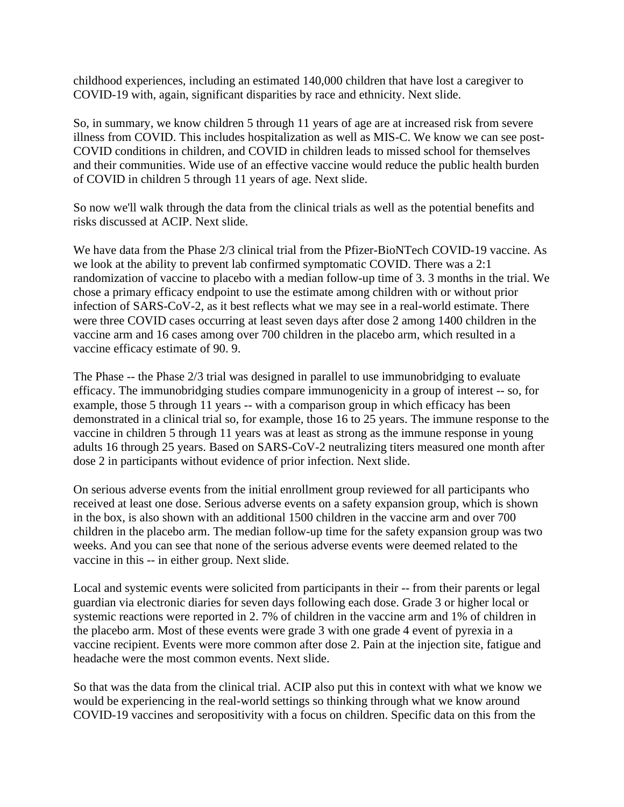childhood experiences, including an estimated 140,000 children that have lost a caregiver to COVID-19 with, again, significant disparities by race and ethnicity. Next slide.

So, in summary, we know children 5 through 11 years of age are at increased risk from severe illness from COVID. This includes hospitalization as well as MIS-C. We know we can see post-COVID conditions in children, and COVID in children leads to missed school for themselves and their communities. Wide use of an effective vaccine would reduce the public health burden of COVID in children 5 through 11 years of age. Next slide.

So now we'll walk through the data from the clinical trials as well as the potential benefits and risks discussed at ACIP. Next slide.

We have data from the Phase 2/3 clinical trial from the Pfizer-BioNTech COVID-19 vaccine. As we look at the ability to prevent lab confirmed symptomatic COVID. There was a 2:1 randomization of vaccine to placebo with a median follow-up time of 3. 3 months in the trial. We chose a primary efficacy endpoint to use the estimate among children with or without prior infection of SARS-CoV-2, as it best reflects what we may see in a real-world estimate. There were three COVID cases occurring at least seven days after dose 2 among 1400 children in the vaccine arm and 16 cases among over 700 children in the placebo arm, which resulted in a vaccine efficacy estimate of 90. 9.

The Phase -- the Phase 2/3 trial was designed in parallel to use immunobridging to evaluate efficacy. The immunobridging studies compare immunogenicity in a group of interest -- so, for example, those 5 through 11 years -- with a comparison group in which efficacy has been demonstrated in a clinical trial so, for example, those 16 to 25 years. The immune response to the vaccine in children 5 through 11 years was at least as strong as the immune response in young adults 16 through 25 years. Based on SARS-CoV-2 neutralizing titers measured one month after dose 2 in participants without evidence of prior infection. Next slide.

On serious adverse events from the initial enrollment group reviewed for all participants who received at least one dose. Serious adverse events on a safety expansion group, which is shown in the box, is also shown with an additional 1500 children in the vaccine arm and over 700 children in the placebo arm. The median follow-up time for the safety expansion group was two weeks. And you can see that none of the serious adverse events were deemed related to the vaccine in this -- in either group. Next slide.

Local and systemic events were solicited from participants in their -- from their parents or legal guardian via electronic diaries for seven days following each dose. Grade 3 or higher local or systemic reactions were reported in 2. 7% of children in the vaccine arm and 1% of children in the placebo arm. Most of these events were grade 3 with one grade 4 event of pyrexia in a vaccine recipient. Events were more common after dose 2. Pain at the injection site, fatigue and headache were the most common events. Next slide.

So that was the data from the clinical trial. ACIP also put this in context with what we know we would be experiencing in the real-world settings so thinking through what we know around COVID-19 vaccines and seropositivity with a focus on children. Specific data on this from the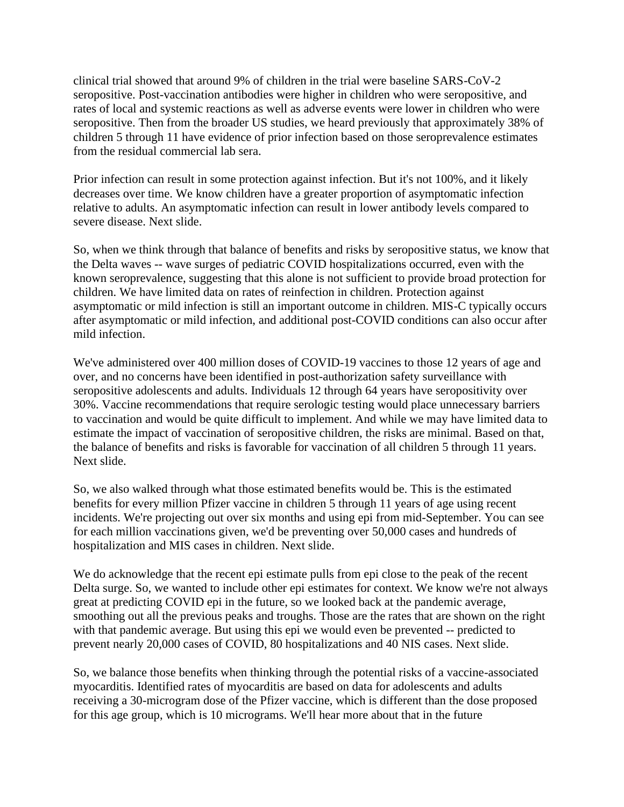clinical trial showed that around 9% of children in the trial were baseline SARS-CoV-2 seropositive. Post-vaccination antibodies were higher in children who were seropositive, and rates of local and systemic reactions as well as adverse events were lower in children who were seropositive. Then from the broader US studies, we heard previously that approximately 38% of children 5 through 11 have evidence of prior infection based on those seroprevalence estimates from the residual commercial lab sera.

Prior infection can result in some protection against infection. But it's not 100%, and it likely decreases over time. We know children have a greater proportion of asymptomatic infection relative to adults. An asymptomatic infection can result in lower antibody levels compared to severe disease. Next slide.

So, when we think through that balance of benefits and risks by seropositive status, we know that the Delta waves -- wave surges of pediatric COVID hospitalizations occurred, even with the known seroprevalence, suggesting that this alone is not sufficient to provide broad protection for children. We have limited data on rates of reinfection in children. Protection against asymptomatic or mild infection is still an important outcome in children. MIS-C typically occurs after asymptomatic or mild infection, and additional post-COVID conditions can also occur after mild infection.

We've administered over 400 million doses of COVID-19 vaccines to those 12 years of age and over, and no concerns have been identified in post-authorization safety surveillance with seropositive adolescents and adults. Individuals 12 through 64 years have seropositivity over 30%. Vaccine recommendations that require serologic testing would place unnecessary barriers to vaccination and would be quite difficult to implement. And while we may have limited data to estimate the impact of vaccination of seropositive children, the risks are minimal. Based on that, the balance of benefits and risks is favorable for vaccination of all children 5 through 11 years. Next slide.

So, we also walked through what those estimated benefits would be. This is the estimated benefits for every million Pfizer vaccine in children 5 through 11 years of age using recent incidents. We're projecting out over six months and using epi from mid-September. You can see for each million vaccinations given, we'd be preventing over 50,000 cases and hundreds of hospitalization and MIS cases in children. Next slide.

We do acknowledge that the recent epi estimate pulls from epi close to the peak of the recent Delta surge. So, we wanted to include other epi estimates for context. We know we're not always great at predicting COVID epi in the future, so we looked back at the pandemic average, smoothing out all the previous peaks and troughs. Those are the rates that are shown on the right with that pandemic average. But using this epi we would even be prevented -- predicted to prevent nearly 20,000 cases of COVID, 80 hospitalizations and 40 NIS cases. Next slide.

So, we balance those benefits when thinking through the potential risks of a vaccine-associated myocarditis. Identified rates of myocarditis are based on data for adolescents and adults receiving a 30-microgram dose of the Pfizer vaccine, which is different than the dose proposed for this age group, which is 10 micrograms. We'll hear more about that in the future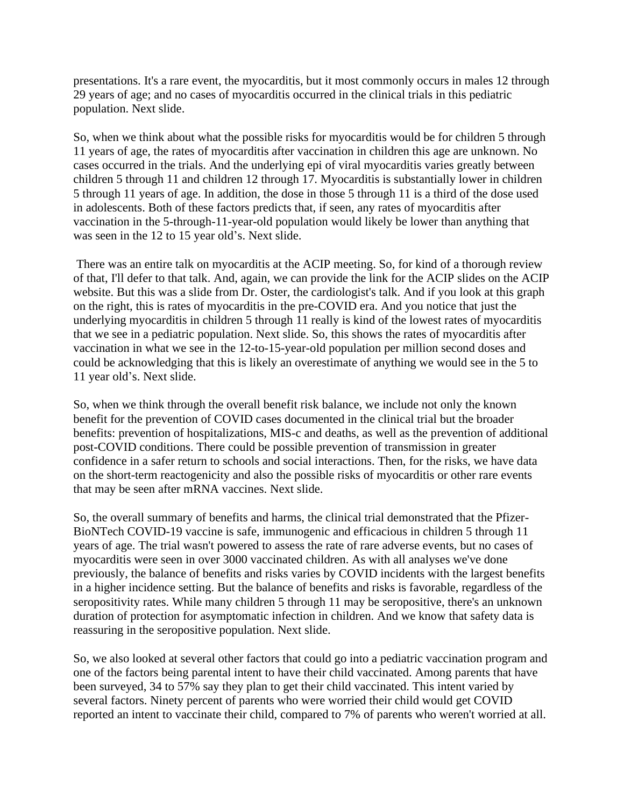presentations. It's a rare event, the myocarditis, but it most commonly occurs in males 12 through 29 years of age; and no cases of myocarditis occurred in the clinical trials in this pediatric population. Next slide.

So, when we think about what the possible risks for myocarditis would be for children 5 through 11 years of age, the rates of myocarditis after vaccination in children this age are unknown. No cases occurred in the trials. And the underlying epi of viral myocarditis varies greatly between children 5 through 11 and children 12 through 17. Myocarditis is substantially lower in children 5 through 11 years of age. In addition, the dose in those 5 through 11 is a third of the dose used in adolescents. Both of these factors predicts that, if seen, any rates of myocarditis after vaccination in the 5-through-11-year-old population would likely be lower than anything that was seen in the 12 to 15 year old's. Next slide.

There was an entire talk on myocarditis at the ACIP meeting. So, for kind of a thorough review of that, I'll defer to that talk. And, again, we can provide the link for the ACIP slides on the ACIP website. But this was a slide from Dr. Oster, the cardiologist's talk. And if you look at this graph on the right, this is rates of myocarditis in the pre-COVID era. And you notice that just the underlying myocarditis in children 5 through 11 really is kind of the lowest rates of myocarditis that we see in a pediatric population. Next slide. So, this shows the rates of myocarditis after vaccination in what we see in the 12-to-15-year-old population per million second doses and could be acknowledging that this is likely an overestimate of anything we would see in the 5 to 11 year old's. Next slide.

So, when we think through the overall benefit risk balance, we include not only the known benefit for the prevention of COVID cases documented in the clinical trial but the broader benefits: prevention of hospitalizations, MIS-c and deaths, as well as the prevention of additional post-COVID conditions. There could be possible prevention of transmission in greater confidence in a safer return to schools and social interactions. Then, for the risks, we have data on the short-term reactogenicity and also the possible risks of myocarditis or other rare events that may be seen after mRNA vaccines. Next slide.

So, the overall summary of benefits and harms, the clinical trial demonstrated that the Pfizer-BioNTech COVID-19 vaccine is safe, immunogenic and efficacious in children 5 through 11 years of age. The trial wasn't powered to assess the rate of rare adverse events, but no cases of myocarditis were seen in over 3000 vaccinated children. As with all analyses we've done previously, the balance of benefits and risks varies by COVID incidents with the largest benefits in a higher incidence setting. But the balance of benefits and risks is favorable, regardless of the seropositivity rates. While many children 5 through 11 may be seropositive, there's an unknown duration of protection for asymptomatic infection in children. And we know that safety data is reassuring in the seropositive population. Next slide.

So, we also looked at several other factors that could go into a pediatric vaccination program and one of the factors being parental intent to have their child vaccinated. Among parents that have been surveyed, 34 to 57% say they plan to get their child vaccinated. This intent varied by several factors. Ninety percent of parents who were worried their child would get COVID reported an intent to vaccinate their child, compared to 7% of parents who weren't worried at all.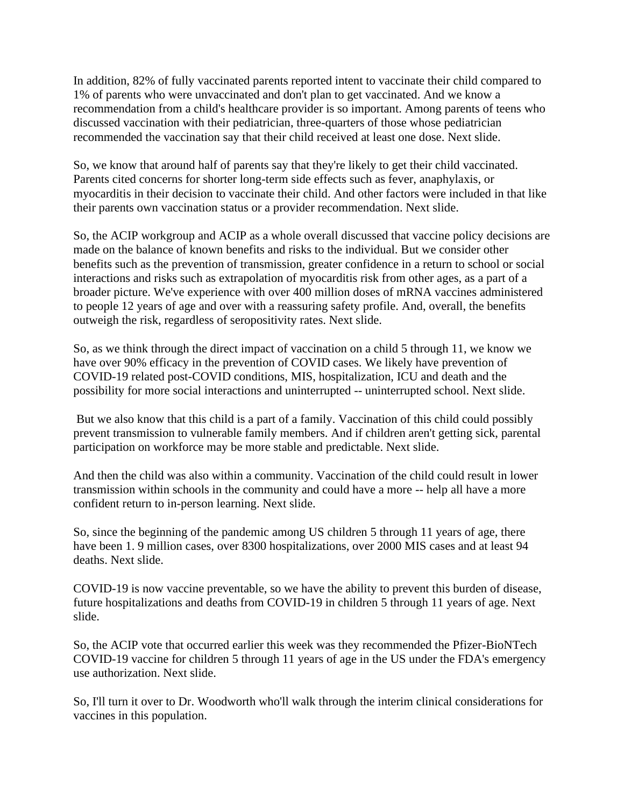In addition, 82% of fully vaccinated parents reported intent to vaccinate their child compared to 1% of parents who were unvaccinated and don't plan to get vaccinated. And we know a recommendation from a child's healthcare provider is so important. Among parents of teens who discussed vaccination with their pediatrician, three-quarters of those whose pediatrician recommended the vaccination say that their child received at least one dose. Next slide.

So, we know that around half of parents say that they're likely to get their child vaccinated. Parents cited concerns for shorter long-term side effects such as fever, anaphylaxis, or myocarditis in their decision to vaccinate their child. And other factors were included in that like their parents own vaccination status or a provider recommendation. Next slide.

So, the ACIP workgroup and ACIP as a whole overall discussed that vaccine policy decisions are made on the balance of known benefits and risks to the individual. But we consider other benefits such as the prevention of transmission, greater confidence in a return to school or social interactions and risks such as extrapolation of myocarditis risk from other ages, as a part of a broader picture. We've experience with over 400 million doses of mRNA vaccines administered to people 12 years of age and over with a reassuring safety profile. And, overall, the benefits outweigh the risk, regardless of seropositivity rates. Next slide.

So, as we think through the direct impact of vaccination on a child 5 through 11, we know we have over 90% efficacy in the prevention of COVID cases. We likely have prevention of COVID-19 related post-COVID conditions, MIS, hospitalization, ICU and death and the possibility for more social interactions and uninterrupted -- uninterrupted school. Next slide.

But we also know that this child is a part of a family. Vaccination of this child could possibly prevent transmission to vulnerable family members. And if children aren't getting sick, parental participation on workforce may be more stable and predictable. Next slide.

And then the child was also within a community. Vaccination of the child could result in lower transmission within schools in the community and could have a more -- help all have a more confident return to in-person learning. Next slide.

So, since the beginning of the pandemic among US children 5 through 11 years of age, there have been 1. 9 million cases, over 8300 hospitalizations, over 2000 MIS cases and at least 94 deaths. Next slide.

COVID-19 is now vaccine preventable, so we have the ability to prevent this burden of disease, future hospitalizations and deaths from COVID-19 in children 5 through 11 years of age. Next slide.

So, the ACIP vote that occurred earlier this week was they recommended the Pfizer-BioNTech COVID-19 vaccine for children 5 through 11 years of age in the US under the FDA's emergency use authorization. Next slide.

So, I'll turn it over to Dr. Woodworth who'll walk through the interim clinical considerations for vaccines in this population.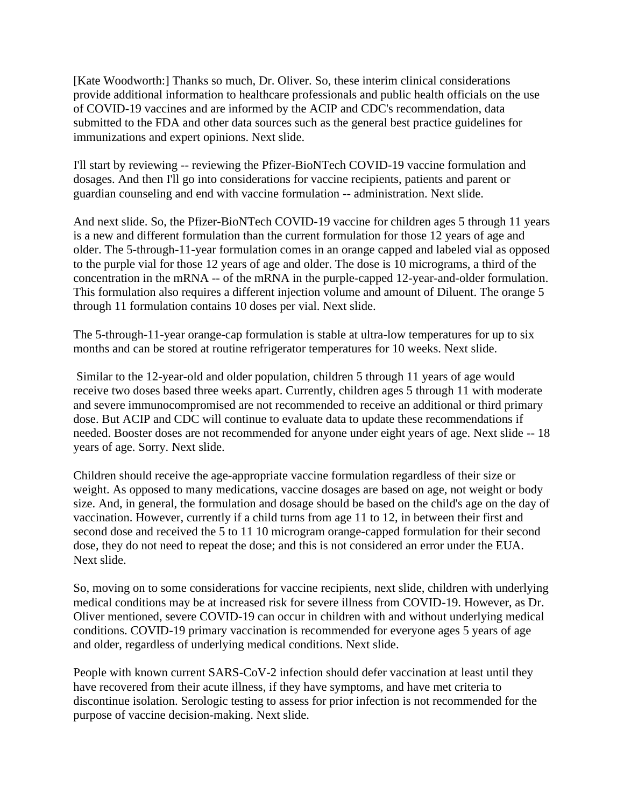[Kate Woodworth:] Thanks so much, Dr. Oliver. So, these interim clinical considerations provide additional information to healthcare professionals and public health officials on the use of COVID-19 vaccines and are informed by the ACIP and CDC's recommendation, data submitted to the FDA and other data sources such as the general best practice guidelines for immunizations and expert opinions. Next slide.

I'll start by reviewing -- reviewing the Pfizer-BioNTech COVID-19 vaccine formulation and dosages. And then I'll go into considerations for vaccine recipients, patients and parent or guardian counseling and end with vaccine formulation -- administration. Next slide.

And next slide. So, the Pfizer-BioNTech COVID-19 vaccine for children ages 5 through 11 years is a new and different formulation than the current formulation for those 12 years of age and older. The 5-through-11-year formulation comes in an orange capped and labeled vial as opposed to the purple vial for those 12 years of age and older. The dose is 10 micrograms, a third of the concentration in the mRNA -- of the mRNA in the purple-capped 12-year-and-older formulation. This formulation also requires a different injection volume and amount of Diluent. The orange 5 through 11 formulation contains 10 doses per vial. Next slide.

The 5-through-11-year orange-cap formulation is stable at ultra-low temperatures for up to six months and can be stored at routine refrigerator temperatures for 10 weeks. Next slide.

Similar to the 12-year-old and older population, children 5 through 11 years of age would receive two doses based three weeks apart. Currently, children ages 5 through 11 with moderate and severe immunocompromised are not recommended to receive an additional or third primary dose. But ACIP and CDC will continue to evaluate data to update these recommendations if needed. Booster doses are not recommended for anyone under eight years of age. Next slide -- 18 years of age. Sorry. Next slide.

Children should receive the age-appropriate vaccine formulation regardless of their size or weight. As opposed to many medications, vaccine dosages are based on age, not weight or body size. And, in general, the formulation and dosage should be based on the child's age on the day of vaccination. However, currently if a child turns from age 11 to 12, in between their first and second dose and received the 5 to 11 10 microgram orange-capped formulation for their second dose, they do not need to repeat the dose; and this is not considered an error under the EUA. Next slide.

So, moving on to some considerations for vaccine recipients, next slide, children with underlying medical conditions may be at increased risk for severe illness from COVID-19. However, as Dr. Oliver mentioned, severe COVID-19 can occur in children with and without underlying medical conditions. COVID-19 primary vaccination is recommended for everyone ages 5 years of age and older, regardless of underlying medical conditions. Next slide.

People with known current SARS-CoV-2 infection should defer vaccination at least until they have recovered from their acute illness, if they have symptoms, and have met criteria to discontinue isolation. Serologic testing to assess for prior infection is not recommended for the purpose of vaccine decision-making. Next slide.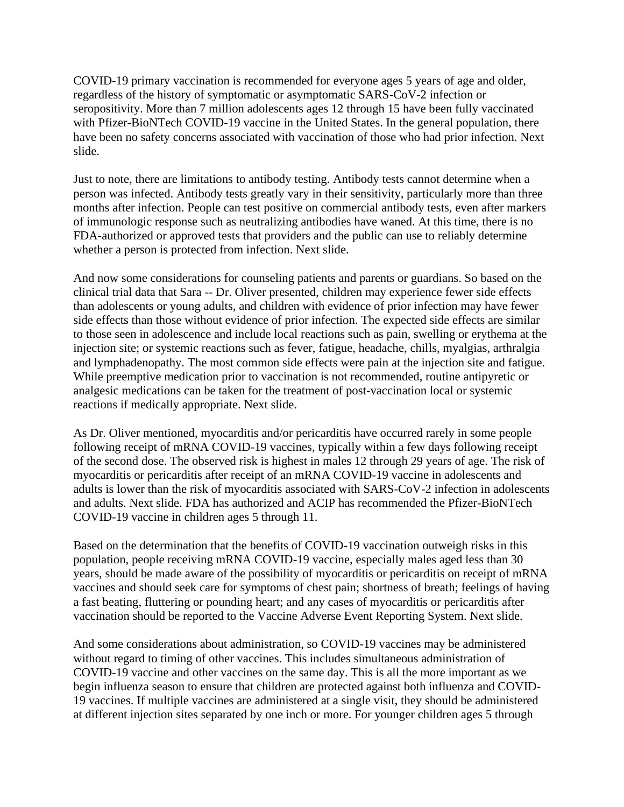COVID-19 primary vaccination is recommended for everyone ages 5 years of age and older, regardless of the history of symptomatic or asymptomatic SARS-CoV-2 infection or seropositivity. More than 7 million adolescents ages 12 through 15 have been fully vaccinated with Pfizer-BioNTech COVID-19 vaccine in the United States. In the general population, there have been no safety concerns associated with vaccination of those who had prior infection. Next slide.

Just to note, there are limitations to antibody testing. Antibody tests cannot determine when a person was infected. Antibody tests greatly vary in their sensitivity, particularly more than three months after infection. People can test positive on commercial antibody tests, even after markers of immunologic response such as neutralizing antibodies have waned. At this time, there is no FDA-authorized or approved tests that providers and the public can use to reliably determine whether a person is protected from infection. Next slide.

And now some considerations for counseling patients and parents or guardians. So based on the clinical trial data that Sara -- Dr. Oliver presented, children may experience fewer side effects than adolescents or young adults, and children with evidence of prior infection may have fewer side effects than those without evidence of prior infection. The expected side effects are similar to those seen in adolescence and include local reactions such as pain, swelling or erythema at the injection site; or systemic reactions such as fever, fatigue, headache, chills, myalgias, arthralgia and lymphadenopathy. The most common side effects were pain at the injection site and fatigue. While preemptive medication prior to vaccination is not recommended, routine antipyretic or analgesic medications can be taken for the treatment of post-vaccination local or systemic reactions if medically appropriate. Next slide.

As Dr. Oliver mentioned, myocarditis and/or pericarditis have occurred rarely in some people following receipt of mRNA COVID-19 vaccines, typically within a few days following receipt of the second dose. The observed risk is highest in males 12 through 29 years of age. The risk of myocarditis or pericarditis after receipt of an mRNA COVID-19 vaccine in adolescents and adults is lower than the risk of myocarditis associated with SARS-CoV-2 infection in adolescents and adults. Next slide. FDA has authorized and ACIP has recommended the Pfizer-BioNTech COVID-19 vaccine in children ages 5 through 11.

Based on the determination that the benefits of COVID-19 vaccination outweigh risks in this population, people receiving mRNA COVID-19 vaccine, especially males aged less than 30 years, should be made aware of the possibility of myocarditis or pericarditis on receipt of mRNA vaccines and should seek care for symptoms of chest pain; shortness of breath; feelings of having a fast beating, fluttering or pounding heart; and any cases of myocarditis or pericarditis after vaccination should be reported to the Vaccine Adverse Event Reporting System. Next slide.

And some considerations about administration, so COVID-19 vaccines may be administered without regard to timing of other vaccines. This includes simultaneous administration of COVID-19 vaccine and other vaccines on the same day. This is all the more important as we begin influenza season to ensure that children are protected against both influenza and COVID-19 vaccines. If multiple vaccines are administered at a single visit, they should be administered at different injection sites separated by one inch or more. For younger children ages 5 through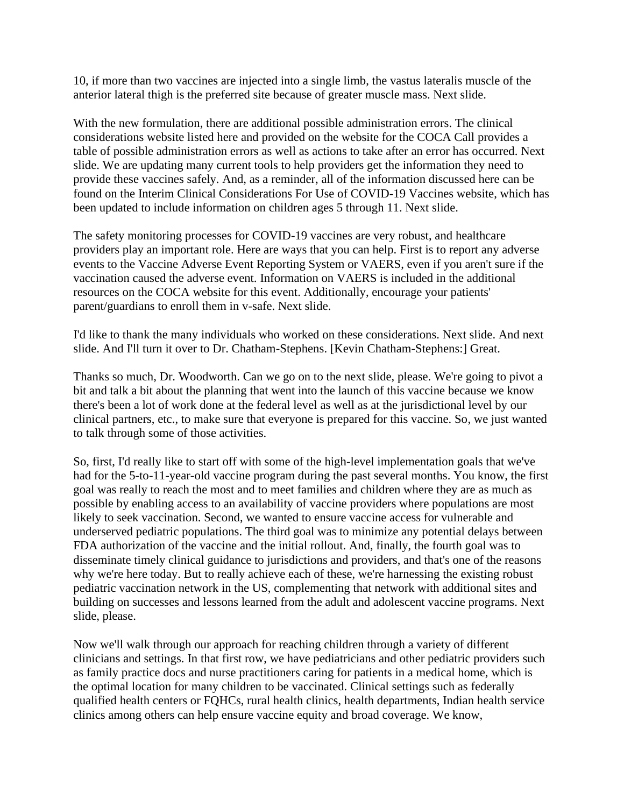10, if more than two vaccines are injected into a single limb, the vastus lateralis muscle of the anterior lateral thigh is the preferred site because of greater muscle mass. Next slide.

With the new formulation, there are additional possible administration errors. The clinical considerations website listed here and provided on the website for the COCA Call provides a table of possible administration errors as well as actions to take after an error has occurred. Next slide. We are updating many current tools to help providers get the information they need to provide these vaccines safely. And, as a reminder, all of the information discussed here can be found on the Interim Clinical Considerations For Use of COVID-19 Vaccines website, which has been updated to include information on children ages 5 through 11. Next slide.

The safety monitoring processes for COVID-19 vaccines are very robust, and healthcare providers play an important role. Here are ways that you can help. First is to report any adverse events to the Vaccine Adverse Event Reporting System or VAERS, even if you aren't sure if the vaccination caused the adverse event. Information on VAERS is included in the additional resources on the COCA website for this event. Additionally, encourage your patients' parent/guardians to enroll them in v-safe. Next slide.

I'd like to thank the many individuals who worked on these considerations. Next slide. And next slide. And I'll turn it over to Dr. Chatham-Stephens. [Kevin Chatham-Stephens:] Great.

Thanks so much, Dr. Woodworth. Can we go on to the next slide, please. We're going to pivot a bit and talk a bit about the planning that went into the launch of this vaccine because we know there's been a lot of work done at the federal level as well as at the jurisdictional level by our clinical partners, etc., to make sure that everyone is prepared for this vaccine. So, we just wanted to talk through some of those activities.

So, first, I'd really like to start off with some of the high-level implementation goals that we've had for the 5-to-11-year-old vaccine program during the past several months. You know, the first goal was really to reach the most and to meet families and children where they are as much as possible by enabling access to an availability of vaccine providers where populations are most likely to seek vaccination. Second, we wanted to ensure vaccine access for vulnerable and underserved pediatric populations. The third goal was to minimize any potential delays between FDA authorization of the vaccine and the initial rollout. And, finally, the fourth goal was to disseminate timely clinical guidance to jurisdictions and providers, and that's one of the reasons why we're here today. But to really achieve each of these, we're harnessing the existing robust pediatric vaccination network in the US, complementing that network with additional sites and building on successes and lessons learned from the adult and adolescent vaccine programs. Next slide, please.

Now we'll walk through our approach for reaching children through a variety of different clinicians and settings. In that first row, we have pediatricians and other pediatric providers such as family practice docs and nurse practitioners caring for patients in a medical home, which is the optimal location for many children to be vaccinated. Clinical settings such as federally qualified health centers or FQHCs, rural health clinics, health departments, Indian health service clinics among others can help ensure vaccine equity and broad coverage. We know,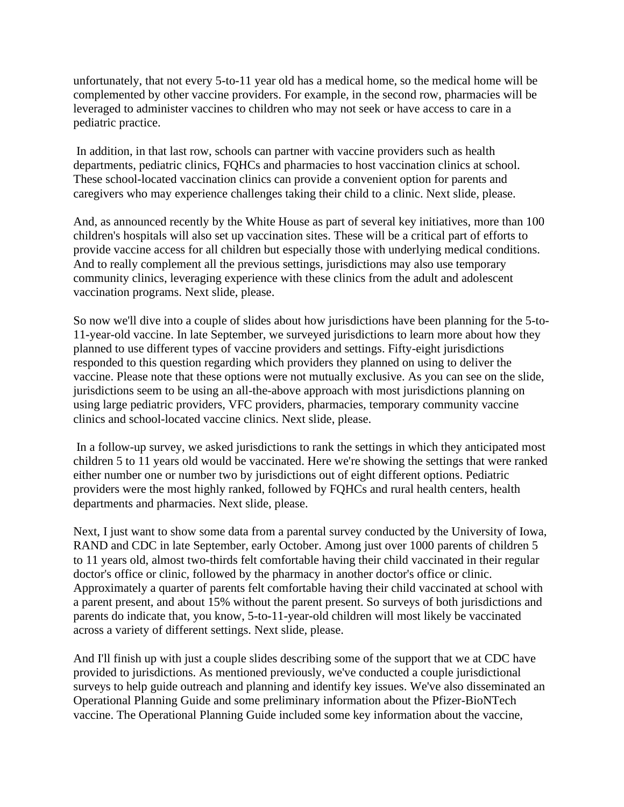unfortunately, that not every 5-to-11 year old has a medical home, so the medical home will be complemented by other vaccine providers. For example, in the second row, pharmacies will be leveraged to administer vaccines to children who may not seek or have access to care in a pediatric practice.

In addition, in that last row, schools can partner with vaccine providers such as health departments, pediatric clinics, FQHCs and pharmacies to host vaccination clinics at school. These school-located vaccination clinics can provide a convenient option for parents and caregivers who may experience challenges taking their child to a clinic. Next slide, please.

And, as announced recently by the White House as part of several key initiatives, more than 100 children's hospitals will also set up vaccination sites. These will be a critical part of efforts to provide vaccine access for all children but especially those with underlying medical conditions. And to really complement all the previous settings, jurisdictions may also use temporary community clinics, leveraging experience with these clinics from the adult and adolescent vaccination programs. Next slide, please.

So now we'll dive into a couple of slides about how jurisdictions have been planning for the 5-to-11-year-old vaccine. In late September, we surveyed jurisdictions to learn more about how they planned to use different types of vaccine providers and settings. Fifty-eight jurisdictions responded to this question regarding which providers they planned on using to deliver the vaccine. Please note that these options were not mutually exclusive. As you can see on the slide, jurisdictions seem to be using an all-the-above approach with most jurisdictions planning on using large pediatric providers, VFC providers, pharmacies, temporary community vaccine clinics and school-located vaccine clinics. Next slide, please.

In a follow-up survey, we asked jurisdictions to rank the settings in which they anticipated most children 5 to 11 years old would be vaccinated. Here we're showing the settings that were ranked either number one or number two by jurisdictions out of eight different options. Pediatric providers were the most highly ranked, followed by FQHCs and rural health centers, health departments and pharmacies. Next slide, please.

Next, I just want to show some data from a parental survey conducted by the University of Iowa, RAND and CDC in late September, early October. Among just over 1000 parents of children 5 to 11 years old, almost two-thirds felt comfortable having their child vaccinated in their regular doctor's office or clinic, followed by the pharmacy in another doctor's office or clinic. Approximately a quarter of parents felt comfortable having their child vaccinated at school with a parent present, and about 15% without the parent present. So surveys of both jurisdictions and parents do indicate that, you know, 5-to-11-year-old children will most likely be vaccinated across a variety of different settings. Next slide, please.

And I'll finish up with just a couple slides describing some of the support that we at CDC have provided to jurisdictions. As mentioned previously, we've conducted a couple jurisdictional surveys to help guide outreach and planning and identify key issues. We've also disseminated an Operational Planning Guide and some preliminary information about the Pfizer-BioNTech vaccine. The Operational Planning Guide included some key information about the vaccine,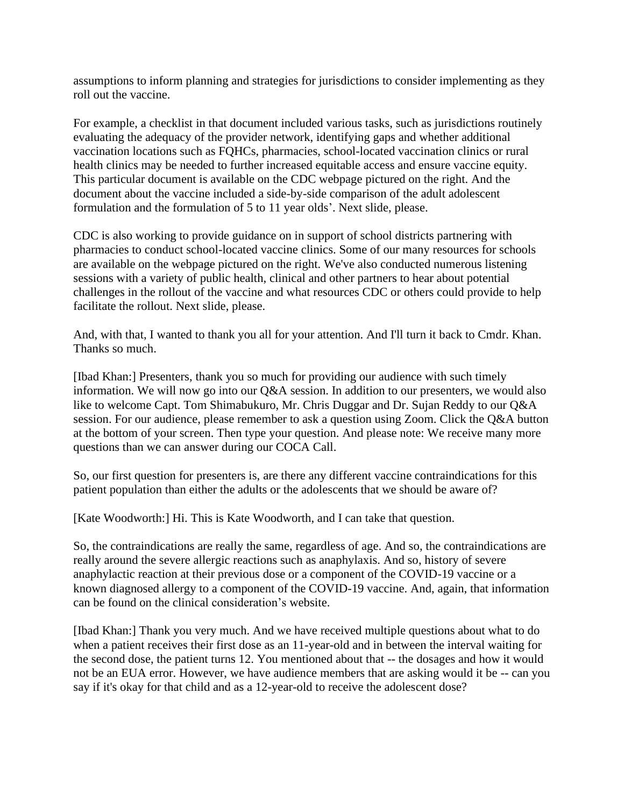assumptions to inform planning and strategies for jurisdictions to consider implementing as they roll out the vaccine.

For example, a checklist in that document included various tasks, such as jurisdictions routinely evaluating the adequacy of the provider network, identifying gaps and whether additional vaccination locations such as FQHCs, pharmacies, school-located vaccination clinics or rural health clinics may be needed to further increased equitable access and ensure vaccine equity. This particular document is available on the CDC webpage pictured on the right. And the document about the vaccine included a side-by-side comparison of the adult adolescent formulation and the formulation of 5 to 11 year olds'. Next slide, please.

CDC is also working to provide guidance on in support of school districts partnering with pharmacies to conduct school-located vaccine clinics. Some of our many resources for schools are available on the webpage pictured on the right. We've also conducted numerous listening sessions with a variety of public health, clinical and other partners to hear about potential challenges in the rollout of the vaccine and what resources CDC or others could provide to help facilitate the rollout. Next slide, please.

And, with that, I wanted to thank you all for your attention. And I'll turn it back to Cmdr. Khan. Thanks so much.

[Ibad Khan:] Presenters, thank you so much for providing our audience with such timely information. We will now go into our Q&A session. In addition to our presenters, we would also like to welcome Capt. Tom Shimabukuro, Mr. Chris Duggar and Dr. Sujan Reddy to our Q&A session. For our audience, please remember to ask a question using Zoom. Click the Q&A button at the bottom of your screen. Then type your question. And please note: We receive many more questions than we can answer during our COCA Call.

So, our first question for presenters is, are there any different vaccine contraindications for this patient population than either the adults or the adolescents that we should be aware of?

[Kate Woodworth:] Hi. This is Kate Woodworth, and I can take that question.

So, the contraindications are really the same, regardless of age. And so, the contraindications are really around the severe allergic reactions such as anaphylaxis. And so, history of severe anaphylactic reaction at their previous dose or a component of the COVID-19 vaccine or a known diagnosed allergy to a component of the COVID-19 vaccine. And, again, that information can be found on the clinical consideration's website.

[Ibad Khan:] Thank you very much. And we have received multiple questions about what to do when a patient receives their first dose as an 11-year-old and in between the interval waiting for the second dose, the patient turns 12. You mentioned about that -- the dosages and how it would not be an EUA error. However, we have audience members that are asking would it be -- can you say if it's okay for that child and as a 12-year-old to receive the adolescent dose?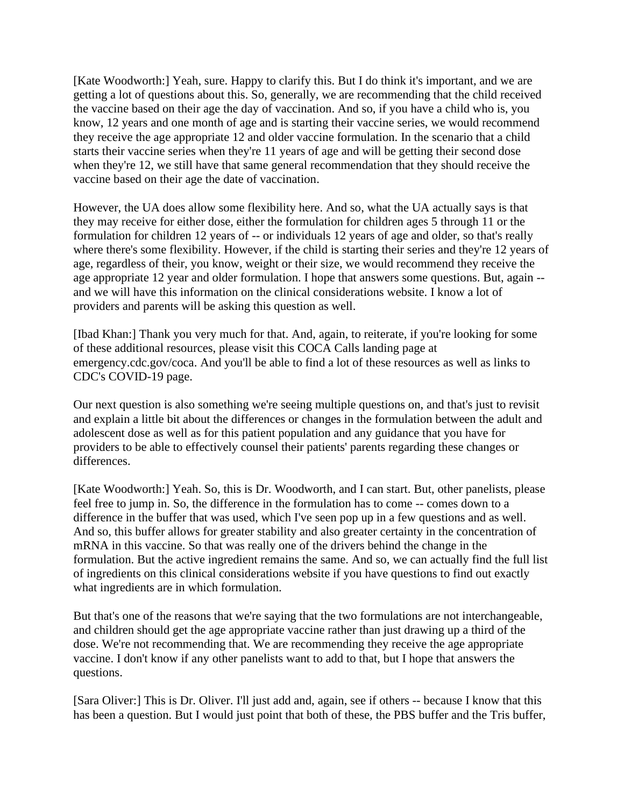[Kate Woodworth:] Yeah, sure. Happy to clarify this. But I do think it's important, and we are getting a lot of questions about this. So, generally, we are recommending that the child received the vaccine based on their age the day of vaccination. And so, if you have a child who is, you know, 12 years and one month of age and is starting their vaccine series, we would recommend they receive the age appropriate 12 and older vaccine formulation. In the scenario that a child starts their vaccine series when they're 11 years of age and will be getting their second dose when they're 12, we still have that same general recommendation that they should receive the vaccine based on their age the date of vaccination.

However, the UA does allow some flexibility here. And so, what the UA actually says is that they may receive for either dose, either the formulation for children ages 5 through 11 or the formulation for children 12 years of -- or individuals 12 years of age and older, so that's really where there's some flexibility. However, if the child is starting their series and they're 12 years of age, regardless of their, you know, weight or their size, we would recommend they receive the age appropriate 12 year and older formulation. I hope that answers some questions. But, again - and we will have this information on the clinical considerations website. I know a lot of providers and parents will be asking this question as well.

[Ibad Khan:] Thank you very much for that. And, again, to reiterate, if you're looking for some of these additional resources, please visit this COCA Calls landing page at emergency.cdc.gov/coca. And you'll be able to find a lot of these resources as well as links to CDC's COVID-19 page.

Our next question is also something we're seeing multiple questions on, and that's just to revisit and explain a little bit about the differences or changes in the formulation between the adult and adolescent dose as well as for this patient population and any guidance that you have for providers to be able to effectively counsel their patients' parents regarding these changes or differences.

[Kate Woodworth:] Yeah. So, this is Dr. Woodworth, and I can start. But, other panelists, please feel free to jump in. So, the difference in the formulation has to come -- comes down to a difference in the buffer that was used, which I've seen pop up in a few questions and as well. And so, this buffer allows for greater stability and also greater certainty in the concentration of mRNA in this vaccine. So that was really one of the drivers behind the change in the formulation. But the active ingredient remains the same. And so, we can actually find the full list of ingredients on this clinical considerations website if you have questions to find out exactly what ingredients are in which formulation.

But that's one of the reasons that we're saying that the two formulations are not interchangeable, and children should get the age appropriate vaccine rather than just drawing up a third of the dose. We're not recommending that. We are recommending they receive the age appropriate vaccine. I don't know if any other panelists want to add to that, but I hope that answers the questions.

[Sara Oliver:] This is Dr. Oliver. I'll just add and, again, see if others -- because I know that this has been a question. But I would just point that both of these, the PBS buffer and the Tris buffer,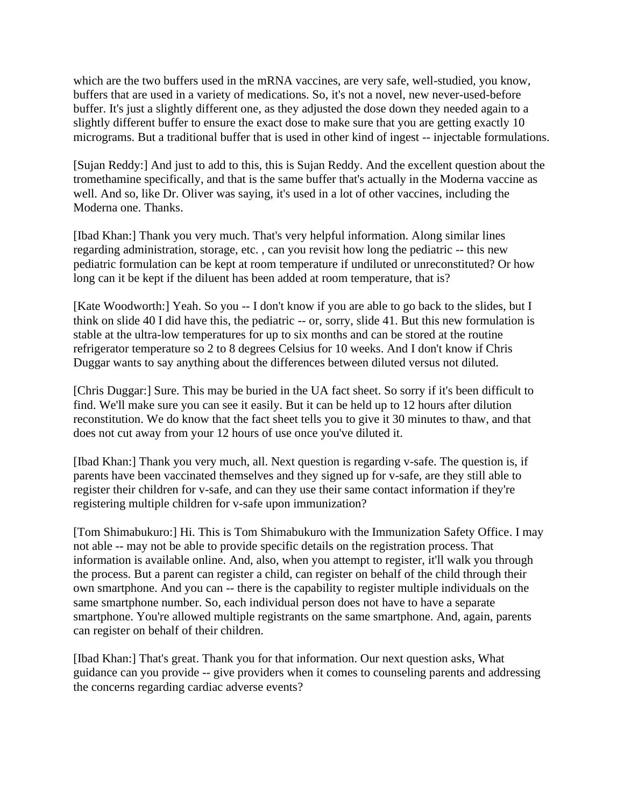which are the two buffers used in the mRNA vaccines, are very safe, well-studied, you know, buffers that are used in a variety of medications. So, it's not a novel, new never-used-before buffer. It's just a slightly different one, as they adjusted the dose down they needed again to a slightly different buffer to ensure the exact dose to make sure that you are getting exactly 10 micrograms. But a traditional buffer that is used in other kind of ingest -- injectable formulations.

[Sujan Reddy:] And just to add to this, this is Sujan Reddy. And the excellent question about the tromethamine specifically, and that is the same buffer that's actually in the Moderna vaccine as well. And so, like Dr. Oliver was saying, it's used in a lot of other vaccines, including the Moderna one. Thanks.

[Ibad Khan:] Thank you very much. That's very helpful information. Along similar lines regarding administration, storage, etc. , can you revisit how long the pediatric -- this new pediatric formulation can be kept at room temperature if undiluted or unreconstituted? Or how long can it be kept if the diluent has been added at room temperature, that is?

[Kate Woodworth:] Yeah. So you -- I don't know if you are able to go back to the slides, but I think on slide 40 I did have this, the pediatric -- or, sorry, slide 41. But this new formulation is stable at the ultra-low temperatures for up to six months and can be stored at the routine refrigerator temperature so 2 to 8 degrees Celsius for 10 weeks. And I don't know if Chris Duggar wants to say anything about the differences between diluted versus not diluted.

[Chris Duggar:] Sure. This may be buried in the UA fact sheet. So sorry if it's been difficult to find. We'll make sure you can see it easily. But it can be held up to 12 hours after dilution reconstitution. We do know that the fact sheet tells you to give it 30 minutes to thaw, and that does not cut away from your 12 hours of use once you've diluted it.

[Ibad Khan:] Thank you very much, all. Next question is regarding v-safe. The question is, if parents have been vaccinated themselves and they signed up for v-safe, are they still able to register their children for v-safe, and can they use their same contact information if they're registering multiple children for v-safe upon immunization?

[Tom Shimabukuro:] Hi. This is Tom Shimabukuro with the Immunization Safety Office. I may not able -- may not be able to provide specific details on the registration process. That information is available online. And, also, when you attempt to register, it'll walk you through the process. But a parent can register a child, can register on behalf of the child through their own smartphone. And you can -- there is the capability to register multiple individuals on the same smartphone number. So, each individual person does not have to have a separate smartphone. You're allowed multiple registrants on the same smartphone. And, again, parents can register on behalf of their children.

[Ibad Khan:] That's great. Thank you for that information. Our next question asks, What guidance can you provide -- give providers when it comes to counseling parents and addressing the concerns regarding cardiac adverse events?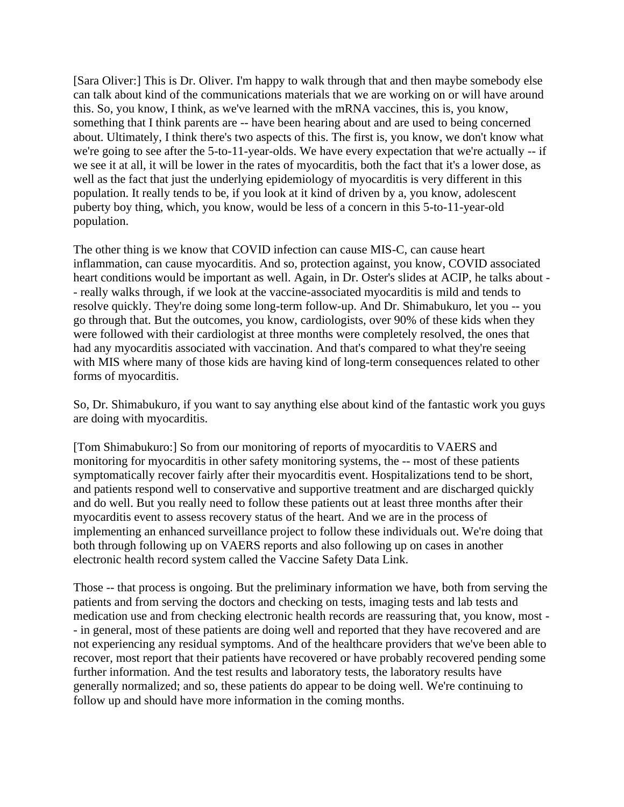[Sara Oliver:] This is Dr. Oliver. I'm happy to walk through that and then maybe somebody else can talk about kind of the communications materials that we are working on or will have around this. So, you know, I think, as we've learned with the mRNA vaccines, this is, you know, something that I think parents are -- have been hearing about and are used to being concerned about. Ultimately, I think there's two aspects of this. The first is, you know, we don't know what we're going to see after the 5-to-11-year-olds. We have every expectation that we're actually -- if we see it at all, it will be lower in the rates of myocarditis, both the fact that it's a lower dose, as well as the fact that just the underlying epidemiology of myocarditis is very different in this population. It really tends to be, if you look at it kind of driven by a, you know, adolescent puberty boy thing, which, you know, would be less of a concern in this 5-to-11-year-old population.

The other thing is we know that COVID infection can cause MIS-C, can cause heart inflammation, can cause myocarditis. And so, protection against, you know, COVID associated heart conditions would be important as well. Again, in Dr. Oster's slides at ACIP, he talks about - - really walks through, if we look at the vaccine-associated myocarditis is mild and tends to resolve quickly. They're doing some long-term follow-up. And Dr. Shimabukuro, let you -- you go through that. But the outcomes, you know, cardiologists, over 90% of these kids when they were followed with their cardiologist at three months were completely resolved, the ones that had any myocarditis associated with vaccination. And that's compared to what they're seeing with MIS where many of those kids are having kind of long-term consequences related to other forms of myocarditis.

So, Dr. Shimabukuro, if you want to say anything else about kind of the fantastic work you guys are doing with myocarditis.

[Tom Shimabukuro:] So from our monitoring of reports of myocarditis to VAERS and monitoring for myocarditis in other safety monitoring systems, the -- most of these patients symptomatically recover fairly after their myocarditis event. Hospitalizations tend to be short, and patients respond well to conservative and supportive treatment and are discharged quickly and do well. But you really need to follow these patients out at least three months after their myocarditis event to assess recovery status of the heart. And we are in the process of implementing an enhanced surveillance project to follow these individuals out. We're doing that both through following up on VAERS reports and also following up on cases in another electronic health record system called the Vaccine Safety Data Link.

Those -- that process is ongoing. But the preliminary information we have, both from serving the patients and from serving the doctors and checking on tests, imaging tests and lab tests and medication use and from checking electronic health records are reassuring that, you know, most - - in general, most of these patients are doing well and reported that they have recovered and are not experiencing any residual symptoms. And of the healthcare providers that we've been able to recover, most report that their patients have recovered or have probably recovered pending some further information. And the test results and laboratory tests, the laboratory results have generally normalized; and so, these patients do appear to be doing well. We're continuing to follow up and should have more information in the coming months.